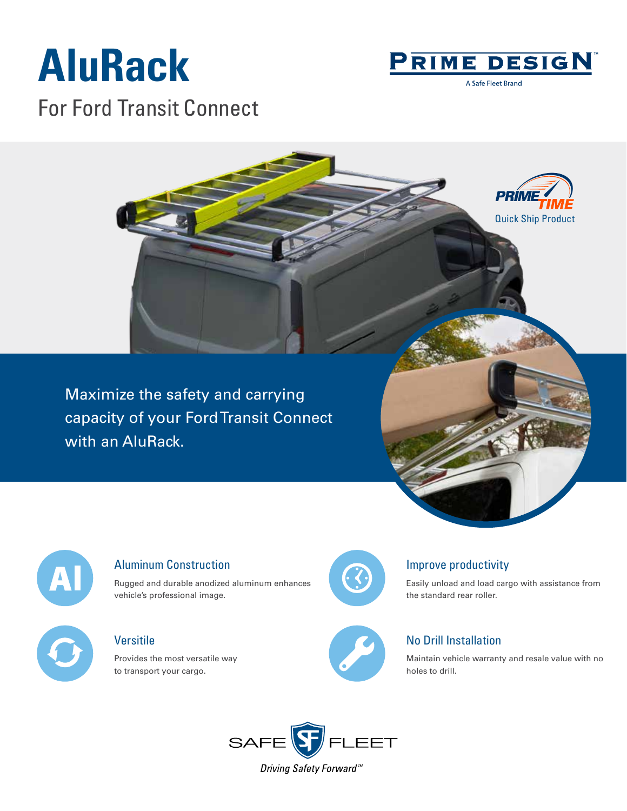# **AluRack** For Ford Transit Connect



A Safe Fleet Brand



Maximize the safety and carrying capacity of your Ford Transit Connect with an AluRack.



#### Aluminum Construction

Rugged and durable anodized aluminum enhances vehicle's professional image.

### Versitile

Provides the most versatile way to transport your cargo.



### Improve productivity

Easily unload and load cargo with assistance from the standard rear roller.



### No Drill Installation

Maintain vehicle warranty and resale value with no holes to drill.